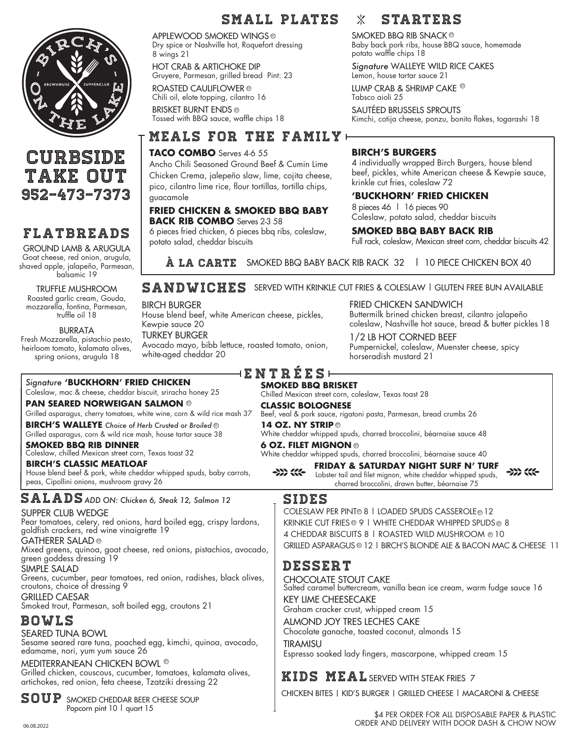

## **CURBSIDE** take out 952-473-7373

## Flatbreads

GROUND LAMB & ARUGULA Goat cheese, red onion, arugula, shaved apple, jalapeño, Parmesan, balsamic 19

TRUFFLE MUSHROOM Roasted garlic cream, Gouda, mozzarella, fontina, Parmesan, truffle oil 18

BURRATA

Fresh Mozzarella, pistachio pesto, heirloom tomato, kalamata olives, spring onions, arugula 18

## SMALL PLATES X STARTERS

APPLEWOOD SMOKED WINGS Dry spice or Nashville hot, Roquefort dressing 8 wings 21

HOT CRAB & ARTICHOKE DIP Gruyere, Parmesan, grilled bread Pint: 23

ROASTED CAULIFLOWER ® Chili oil, elote topping, cilantro 16 BRISKET BURNT ENDS gf

Tossed with BBQ sauce, waffle chips 18

## meals for the family

#### **TACO COMBO** Serves 4-6 55

Ancho Chili Seasoned Ground Beef & Cumin Lime Chicken Crema, jalepeño slaw, lime, cojita cheese, pico, cilantro lime rice, flour tortillas, tortilla chips, guacamole

#### **FRIED CHICKEN & SMOKED BBQ BABY BACK RIB COMBO** Serves 2-3 58

6 pieces fried chicken, 6 pieces bbq ribs, coleslaw, potato salad, cheddar biscuits

 $\circ$  smoked bbq rib snack  $\circ$ Baby back pork ribs, house BBQ sauce, homemade potato waffle chips 18

> *Signature* WALLEYE WILD RICE CAKES Lemon, house tartar sauce 21

LUMP CRAB & SHRIMP CAKE  $^\circledast$ Tabsco aioli 25

SAUTÉED BRUSSELS SPROUTS Kimchi, cotija cheese, ponzu, bonito flakes, togarashi 18

#### **BIRCH'S BURGERS**

4 individually wrapped Birch Burgers, house blend beef, pickles, white American cheese & Kewpie sauce, krinkle cut fries, coleslaw 72

#### **'BUCKHORN' FRIED CHICKEN**

8 pieces 46 | 16 pieces 90 Coleslaw, potato salad, cheddar biscuits

**SMOKED BBQ BABY BACK RIB**

Full rack, coleslaw, Mexican street corn, cheddar biscuits 42

**À LA CARTE** SMOKED BBQ BABY BACK RIB RACK 32 | 10 PIECE CHICKEN BOX 40

## SANDWICHES SERVED WITH KRINKLE CUT FRIES & COLESLAW | GLUTEN FREE BUN AVAILABLE

BIRCH BURGER

white-aged cheddar 20

House blend beef, white American cheese, pickles, Kewpie sauce 20 TURKEY BURGER Avocado mayo, bibb lettuce, roasted tomato, onion, FRIED CHICKEN SANDWICH Buttermilk brined chicken breast, cilantro jalapeño coleslaw, Nashville hot sauce, bread & butter pickles 18

1/2 LB HOT CORNED BEEF Pumpernickel, coleslaw, Muenster cheese, spicy horseradish mustard 21

### *Signature* **'BUCKHORN' FRIED CHICKEN**

Coleslaw, mac & cheese, cheddar biscuit, sriracha honey 25

**PAN SEARED NORWEIGAN SALMON** gf

Grilled asparagus, cherry tomatoes, white wine, corn & wild rice mash 37

**BIRCH'S WALLEYE** *Choice of Herb Crusted or Broiled* gf Grilled asparagus, corn & wild rice mash, house tartar sauce 38

**SMOKED BBQ RIB DINNER** Coleslaw, chilled Mexican street corn, Texas toast 32

**BIRCH'S CLASSIC MEATLOAF** House blend beef & pork, white cheddar whipped spuds, baby carrots, peas, Cipollini onions, mushroom gravy 26

 $\texttt{SALADS}$  add ON: Chicken 6, Steak 12, Salmon 12

#### SUPPER CLUB WEDGE

Pear tomatoes, celery, red onions, hard boiled egg, crispy lardons, goldfish crackers, red wine vinaigrette 19

GATHERER SALAD gf

Mixed greens, quinoa, goat cheese, red onions, pistachios, avocado, green goddess dressing 19

SIMPLE SALAD

Greens, cucumber, pear tomatoes, red onion, radishes, black olives, croutons, choice of dressing 9 GRILLED CAESAR

Smoked trout, Parmesan, soft boiled egg, croutons 21

## bowls

SEARED TUNA BOWL

Sesame seared rare tuna, poached egg, kimchi, quinoa, avocado, edamame, nori, yum yum sauce 26

#### MEDITERRANEAN CHICKEN BOWL ®

Grilled chicken, couscous, cucumber, tomatoes, kalamata olives, artichokes, red onion, feta cheese, Tzatziki dressing 22

 $\mathbb{S} \mathbb{O} \mathbb{U} \mathbb{P}$  smoked cheddar beer cheese soup Popcorn pint 10 | quart 15

#### ENTR É E s **SMOKED BBQ BRISKET**

Chilled Mexican street corn, coleslaw, Texas toast 28

#### **CLASSIC BOLOGNESE**

Beef, veal & pork sauce, rigatoni pasta, Parmesan, bread crumbs 26

#### **14 OZ. NY STRIP**

White cheddar whipped spuds, charred broccolini, béarnaise sauce 48

#### **6 OZ. FILET MIGNON ©**

White cheddar whipped spuds, charred broccolini, béarnaise sauce 40

#### **FRIDAY & SATURDAY NIGHT SURF N' TURF**  $\rightarrow$   $\rightarrow$   $\rightarrow$   $\rightarrow$

 $\rightarrow$   $\rightarrow$   $\rightarrow$ Lobster tail and filet mignon, white cheddar whipped spuds, charred broccolini, drawn butter, béarnaise 75

## sides

COLESLAW PER PINT® 8 | LOADED SPUDS CASSEROLE® 12 KRINKLE CUT FRIES® 9 | WHITE CHEDDAR WHIPPED SPUDS® 8 4 CHEDDAR BISCUITS 8 | ROASTED WILD MUSHROOM ® 10 GRILLED ASPARAGUS ® 12 | BIRCH'S BLONDE ALE & BACON MAC & CHEESE 11

## dessert

CHOCOLATE STOUT CAKE Salted caramel buttercream, vanilla bean ice cream, warm fudge sauce 16 KEY LIME CHEESECAKE Graham cracker crust, whipped cream 15

ALMOND JOY TRES LECHES CAKE

Chocolate ganache, toasted coconut, almonds 15

**TIRAMISU** Espresso soaked lady fingers, mascarpone, whipped cream 15

## KIDS MEAL SERVED WITH STEAK FRIES 7

CHICKEN BITES | KID'S BURGER | GRILLED CHEESE | MACARONI & CHEESE

\$4 PER ORDER FOR ALL DISPOSABLE PAPER & PLASTIC 06.08.2022 ORDER AND DELIVERY WITH DOOR DASH & CHOW NOW